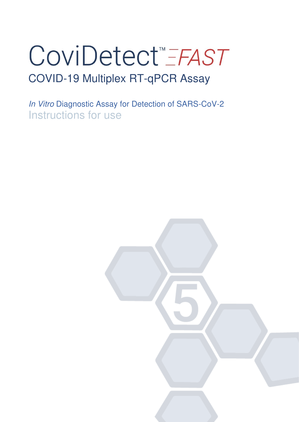# CoviDetect<sup>™</sup> FAST COVID-19 Multiplex RT-qPCR Assay

In Vitro Diagnostic Assay for Detection of SARS-CoV-2 Instructions for use

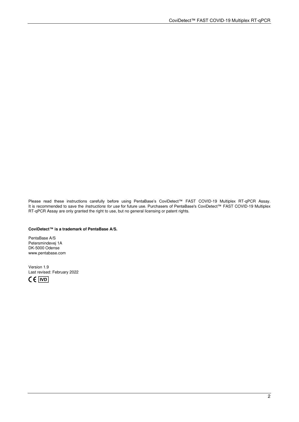Please read these instructions carefully before using PentaBase's CoviDetect™ FAST COVID-19 Multiplex RT-qPCR Assay. It is recommended to save the *Instructions for use* for future use. Purchasers of PentaBase's CoviDetect™ FAST COVID-19 Multiplex RT-qPCR Assay are only granted the right to use, but no general licensing or patent rights.

#### **CoviDetect™ is a trademark of PentaBase A/S.**

PentaBase A/S Petersmindevej 1A DK-5000 Odense www.pentabase.com

Version 1.9 Last revised: February 2022  $C \in \vert \overline{VD} \vert$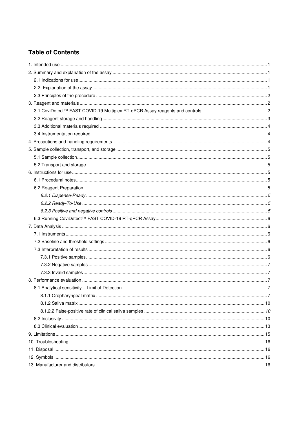# **Table of Contents**

<span id="page-2-0"></span>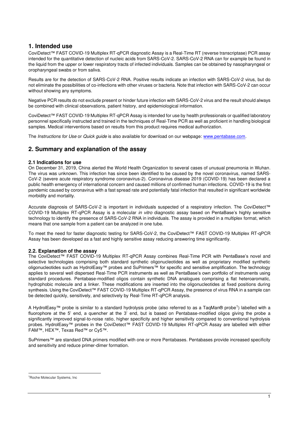# **1. Intended use**

CoviDetect™ FAST COVID-19 Multiplex RT-qPCR diagnostic Assay is a Real-Time RT (reverse transcriptase) PCR assay intended for the quantitative detection of nucleic acids from SARS-CoV-2. SARS-CoV-2 RNA can for example be found in the liquid from the upper or lower respiratory tracts of infected individuals. Samples can be obtained by nasopharyngeal or oropharyngeal swabs or from saliva.

Results are for the detection of SARS-CoV-2 RNA. Positive results indicate an infection with SARS-CoV-2 virus, but do not eliminate the possibilities of co-infections with other viruses or bacteria. Note that infection with SARS-CoV-2 can occur without showing any symptoms.

Negative PCR results do not exclude present or hinder future infection with SARS-CoV-2 virus and the result should always be combined with clinical observations, patient history, and epidemiological information.

CoviDetect™ FAST COVID-19 Multiplex RT-qPCR Assay is intended for use by health professionals or qualified laboratory personnel specifically instructed and trained in the techniques of Real-Time PCR as well as proficient in handling biological samples. Medical interventions based on results from this product requires medical authorization.

The Instructions for Use or Quick guide is also available for download on our webpage: [www.pentabase.com.](http://www.pentabase.com/)

# <span id="page-3-0"></span>**2. Summary and explanation of the assay**

## <span id="page-3-1"></span>**2.1 Indications for use**

On December 31, 2019, China alerted the World Health Organization to several cases of unusual pneumonia in Wuhan. The virus was unknown. This infection has since been identified to be caused by the novel coronavirus, named SARS-CoV-2 (severe acute respiratory syndrome coronavirus-2). Coronavirus disease 2019 (COVID-19) has been declared a public health emergency of international concern and caused millions of confirmed human infections. COVID-19 is the first pandemic caused by coronavirus with a fast spread rate and potentially fatal infection that resulted in significant worldwide morbidity and mortality.

Accurate diagnosis of SARS-CoV-2 is important in individuals suspected of a respiratory infection. The CoviDetect™ COVID-19 Multiplex RT-qPCR Assay is a molecular in vitro diagnostic assay based on PentaBase's highly sensitive technology to identify the presence of SARS-CoV-2 RNA in individuals. The assay is provided in a multiplex format, which means that one sample from a patient can be analyzed in one tube.

To meet the need for faster diagnostic testing for SARS-CoV-2, the CoviDetect™ FAST COVID-19 Multiplex RT-qPCR Assay has been developed as a fast and highly sensitive assay reducing answering time significantly.

## <span id="page-3-2"></span>**2.2. Explanation of the assay**

The CoviDetect™ FAST COVID-19 Multiplex RT-qPCR Assay combines Real-Time PCR with PentaBase's novel and selective technologies comprising both standard synthetic oligonucleotides as well as proprietary modified synthetic oligonucleotides such as HydrolEasy™ probes and SuPrimers™ for specific and sensitive amplification. The technology applies to several well dispersed Real-Time PCR instruments as well as PentaBase's own portfolio of instruments using standard procedures. Pentabase-modified oligos contain synthetic DNA analogues comprising a flat heteroaromatic, hydrophobic molecule and a linker. These modifications are inserted into the oligonucleotides at fixed positions during synthesis. Using the CoviDetect™ FAST COVID-19 Multiplex RT-qPCR Assay, the presence of virus RNA in a sample can be detected quickly, sensitively, and selectively by Real-Time RT-qPCR analysis.

A HydrolEasy™ probe is similar to a standard hydrolysis probe (also referred to as a TaqMan® probe<sup>1</sup>) labelled with a fluorophore at the 5' end, a quencher at the 3' end, but is based on Pentabase-modified oligos giving the probe a significantly improved signal-to-noise ratio, higher specificity and higher sensitivity compared to conventional hydrolysis probes. HydrolEasy™ probes in the CoviDetect™ FAST COVID-19 Multiplex RT-qPCR Assay are labelled with either FAM™, HEX™, Texas Red™ or Cy5™.

SuPrimers™ are standard DNA primers modified with one or more Pentabases. Pentabases provide increased specificity and sensitivity and reduce primer-dimer formation.

<sup>1</sup>Roche Molecular Systems, Inc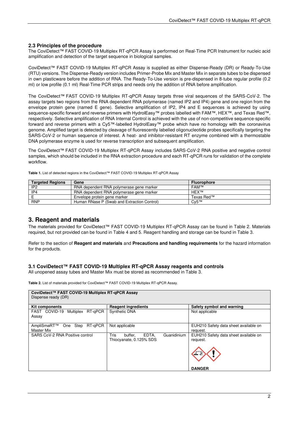## <span id="page-4-0"></span>**2.3 Principles of the procedure**

The CoviDetect™ FAST COVID-19 Multiplex RT-qPCR Assay is performed on Real-Time PCR Instrument for nucleic acid amplification and detection of the target sequence in biological samples.

CoviDetect™ FAST COVID-19 Multiplex RT-qPCR Assay is supplied as either Dispense-Ready (DR) or Ready-To-Use (RTU) versions. The Dispense-Ready version includes Primer-Probe Mix and Master Mix in separate tubes to be dispensed in own plasticware before the addition of RNA. The Ready-To-Use version is pre-dispensed in 8-tube regular profile (0.2 ml) or low profile (0.1 ml) Real-Time PCR strips and needs only the addition of RNA before amplification.

The CoviDetect™ FAST COVID-19 Multiplex RT-qPCR Assay targets three viral sequences of the SARS-CoV-2. The assay targets two regions from the RNA dependent RNA polymerase (named IP2 and IP4) gene and one region from the envelope protein gene (named E gene). Selective amplification of IP2, IP4 and E sequences is achieved by using sequence-specific forward and reverse primers with HydrolEasy™ probes labelled with FAM™, HEX™, and Texas Red™, respectively. Selective amplification of RNA Internal Control is achieved with the use of non-competitive sequence-specific forward and reverse primers with a Cy5™-labelled HydrolEasy™ probe which have no homology with the coronavirus genome. Amplified target is detected by cleavage of fluorescently labelled oligonucleotide probes specifically targeting the SARS-CoV-2 or human sequence of interest. A heat- and inhibitor-resistant RT enzyme combined with a thermostable DNA polymerase enzyme is used for reverse transcription and subsequent amplification.

The CoviDetect™ FAST COVID-19 Multiplex RT-qPCR Assay includes SARS-CoV-2 RNA positive and negative control samples, which should be included in the RNA extraction procedure and each RT-qPCR runs for validation of the complete workflow.

**Table 1.** List of detected regions in the CoviDetect™ FAST COVID-19 Multiplex RT-qPCR Assay

| <b>Targeted Regions</b> | Gene                                        | <b>Fluorophore</b> |
|-------------------------|---------------------------------------------|--------------------|
| IP <sub>2</sub>         | RNA dependent RNA polymerase gene marker    | <b>FAM™</b>        |
| IP4                     | RNA dependent RNA polymerase gene marker    | HEX™               |
|                         | Envelope protein gene marker                | Texas Red™         |
| <b>RNP</b>              | Human RNase P (Swab and Extraction Control) | $Cv5^{TM}$         |

# <span id="page-4-1"></span>**3. Reagent and materials**

The materials provided for CoviDetect™ FAST COVID-19 Multiplex RT-qPCR Assay can be found in Table 2. Materials required, but not provided can be found in Table 4 and 5. Reagent handling and storage can be found in Table 3.

Refer to the section of **Reagent and materials** and **Precautions and handling requirements** for the hazard information for the products.

## <span id="page-4-2"></span>**3.1 CoviDetect™ FAST COVID-19 Multiplex RT-qPCR Assay reagents and controls**

All unopened assay tubes and Master Mix must be stored as recommended in Table 3.

**Table 2.** List of materials provided for CoviDetect™ FAST COVID-19 Multiplex RT-qPCR Assay.

| CoviDetect™ FAST COVID-19 Multiplex RT-qPCR Assay<br>Dispense ready (DR) |                                                                    |                                                                                    |
|--------------------------------------------------------------------------|--------------------------------------------------------------------|------------------------------------------------------------------------------------|
| Kit components                                                           | <b>Reagent ingredients</b>                                         | Safety symbol and warning                                                          |
| FAST COVID-19 Multiplex RT-qPCR<br>Assay                                 | Synthetic DNA                                                      | Not applicable                                                                     |
| One Step RT-gPCR<br>AmpliSmaRT™<br>Master Mix                            | Not applicable                                                     | EUH210 Safety data sheet available on<br>request.                                  |
| SARS CoV-2 RNA Positive control                                          | Guanidinium<br>Tris<br>EDTA.<br>buffer.<br>Thiocyanate, 0.125% SDS | EUH210 Safety data sheet available on<br>request.<br>$\mathbf{r}$<br><b>DANGER</b> |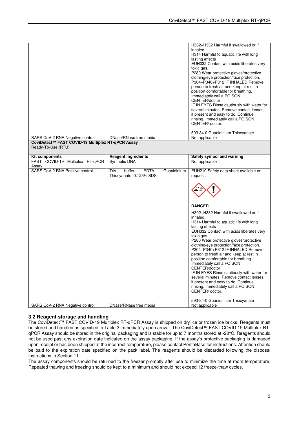|                                                                         |                                         | H302+H332 Harmful if swallowed or if                                                  |
|-------------------------------------------------------------------------|-----------------------------------------|---------------------------------------------------------------------------------------|
|                                                                         |                                         | inhaled.<br>H314 Harmful to aquatic life with long                                    |
|                                                                         |                                         | lasting effects                                                                       |
|                                                                         |                                         | EUH032 Contact with acids liberates very<br>toxic gas.                                |
|                                                                         |                                         | P280 Wear protective gloves/protective                                                |
|                                                                         |                                         | clothing/eye protection/face protection.<br>P304+P340+P312 IF INHALED Remove          |
|                                                                         |                                         | person to fresh air and keep at rest in                                               |
|                                                                         |                                         | position comfortable for breathing.                                                   |
|                                                                         |                                         | Immediately call a POISON<br>CENTER/doctor                                            |
|                                                                         |                                         | IF IN EYES Rinse cautiously with water for                                            |
|                                                                         |                                         | several minutes. Remove contact lenses,                                               |
|                                                                         |                                         | if present and easy to do. Continue<br>rinsing. Immediately call a POISON             |
|                                                                         |                                         | CENTER/ doctor.                                                                       |
|                                                                         |                                         | 593-84-0 Guanidinium Thiocyanate                                                      |
| SARS CoV-2 RNA Negative control                                         | DNase/RNase free media                  | Not applicable                                                                        |
| CoviDetect™ FAST COVID-19 Multiplex RT-qPCR Assay<br>Ready-To-Use (RTU) |                                         |                                                                                       |
|                                                                         |                                         |                                                                                       |
| <b>Kit components</b>                                                   | <b>Reagent ingredients</b>              | Safety symbol and warning                                                             |
| FAST COVID-19 Multiplex RT-qPCR<br>Assay                                | Synthetic DNA                           | Not applicable                                                                        |
| SARS CoV-2 RNA Positive control                                         | Tris<br>buffer,<br>Guanidinium<br>EDTA, | EUH210 Safety data sheet available on                                                 |
|                                                                         | Thiocyanate, 0.125% SDS                 | request.                                                                              |
|                                                                         |                                         |                                                                                       |
|                                                                         |                                         |                                                                                       |
|                                                                         |                                         |                                                                                       |
|                                                                         |                                         | <b>DANGER</b>                                                                         |
|                                                                         |                                         | H302+H332 Harmful if swallowed or if                                                  |
|                                                                         |                                         | inhaled.                                                                              |
|                                                                         |                                         | H314 Harmful to aquatic life with long<br>lasting effects                             |
|                                                                         |                                         | EUH032 Contact with acids liberates very                                              |
|                                                                         |                                         | toxic gas.                                                                            |
|                                                                         |                                         | P280 Wear protective gloves/protective<br>clothing/eye protection/face protection.    |
|                                                                         |                                         | P304+P340+P312 IF INHALED Remove                                                      |
|                                                                         |                                         | person to fresh air and keep at rest in<br>position comfortable for breathing.        |
|                                                                         |                                         | Immediately call a POISON                                                             |
|                                                                         |                                         | CENTER/doctor                                                                         |
|                                                                         |                                         | IF IN EYES Rinse cautiously with water for<br>several minutes. Remove contact lenses, |
|                                                                         |                                         | if present and easy to do. Continue                                                   |
|                                                                         |                                         | rinsing. Immediately call a POISON<br>CENTER/ doctor.                                 |
|                                                                         |                                         |                                                                                       |
| SARS CoV-2 RNA Negative control                                         | DNase/RNase free media                  | 593-84-0 Guanidinium Thiocyanate<br>Not applicable                                    |

## <span id="page-5-0"></span>**3.2 Reagent storage and handling**

The CoviDetect™ FAST COVID-19 Multiplex RT-qPCR Assay is shipped on dry ice or frozen ice bricks. Reagents must be stored and handled as specified in Table 3 immediately upon arrival. The CoviDetect™ FAST COVID-19 Multiplex RTqPCR Assay should be stored in the original packaging and is stable for up to 7 months stored at -20°C. Reagents should not be used past any expiration date indicated on the assay packaging. If the assay's protective packaging is damaged upon receipt or has been shipped at the incorrect temperature, please contact PentaBase for instructions. Attention should be paid to the expiration date specified on the pack label. The reagents should be discarded following the disposal instructions in Section 11.

The assay components should be returned to the freezer promptly after use to minimize the time at room temperature. Repeated thawing and freezing should be kept to a minimum and should not exceed 12 freeze-thaw cycles.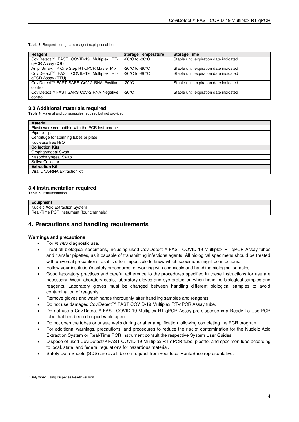**Table 3.** Reagent storage and reagent expiry conditions.

| Reagent                                  | <b>Storage Temperature</b>           | <b>Storage Time</b>                    |
|------------------------------------------|--------------------------------------|----------------------------------------|
| CoviDetect™ FAST COVID-19 Multiplex RT-  | -20 $^{\circ}$ C to -80 $^{\circ}$ C | Stable until expiration date indicated |
| qPCR Assay (DR)                          |                                      |                                        |
| AmpliSmaRT™ One Step RT-gPCR Master Mix  | -20 $^{\circ}$ C to -80 $^{\circ}$ C | Stable until expiration date indicated |
| CoviDetect™ FAST COVID-19 Multiplex RT-  | -20 $^{\circ}$ C to -80 $^{\circ}$ C | Stable until expiration date indicated |
| gPCR Assay ( <b>RTU</b> )                |                                      |                                        |
| CoviDetect™ FAST SARS CoV-2 RNA Positive | $-20^{\circ}$ C                      | Stable until expiration date indicated |
| control                                  |                                      |                                        |
| CoviDetect™ FAST SARS CoV-2 RNA Negative | $-20^{\circ}$ C                      | Stable until expiration date indicated |
| control                                  |                                      |                                        |

## <span id="page-6-0"></span>**3.3 Additional materials required**

**Table 4.** Material and consumables required but not provided.

| <b>Material</b>                                             |
|-------------------------------------------------------------|
| Plasticware compatible with the PCR instrument <sup>2</sup> |
| Pipette Tips                                                |
| Centrifuge for spinning tubes or plate                      |
| Nuclease free $H_2O$                                        |
| <b>Collection Kits</b>                                      |
| Oropharyngeal Swab                                          |
| Nasopharyngeal Swab                                         |
| Saliva Collector                                            |
| <b>Extraction Kit</b>                                       |
| Viral DNA/RNA Extraction kit                                |

## <span id="page-6-1"></span>**3.4 Instrumentation required**

**Table 5.** Instrumentation.

| $\cdots$<br>men                                                                            |
|--------------------------------------------------------------------------------------------|
| icleic Acid<br>Extraction<br>System<br>NΙ                                                  |
| <b>DOD</b><br><sup>.</sup> channels'<br><b>instrument</b><br>i ime<br>tour)<br>Heal-<br>◡◠ |

# <span id="page-6-2"></span>**4. Precautions and handling requirements**

#### **Warnings and precautions**

- For in vitro diagnostic use.
- Treat all biological specimens, including used CoviDetect™ FAST COVID-19 Multiplex RT-qPCR Assay tubes and transfer pipettes, as if capable of transmitting infections agents. All biological specimens should be treated with universal precautions, as it is often impossible to know which specimens might be infectious.
- Follow your institution's safety procedures for working with chemicals and handling biological samples.
- Good laboratory practices and careful adherence to the procedures specified in these Instructions for use are necessary. Wear laboratory coats, laboratory gloves and eye protection when handling biological samples and reagents. Laboratory gloves must be changed between handling different biological samples to avoid contamination of reagents.
- Remove gloves and wash hands thoroughly after handling samples and reagents.
- Do not use damaged CoviDetect™ FAST COVID-19 Multiplex RT-qPCR Assay tube.
- Do not use a CoviDetect™ FAST COVID-19 Multiplex RT-qPCR Assay pre-dispense in a Ready-To-Use PCR tube that has been dropped while open.
- Do not open the tubes or unseal wells during or after amplification following completing the PCR program.
- For additional warnings, precautions, and procedures to reduce the risk of contamination for the Nucleic Acid Extraction System or Real-Time PCR Instrument consult the respective System User Guides.
- Dispose of used CoviDetect™ FAST COVID-19 Multiplex RT-qPCR tube, pipette, and specimen tube according to local, state, and federal regulations for hazardous material.
- Safety Data Sheets (SDS) are available on request from your local PentaBase representative.

<sup>2</sup> Only when using Dispense Ready version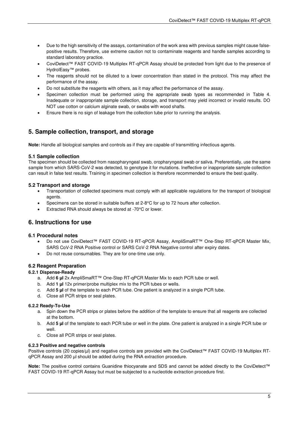- Due to the high sensitivity of the assays, contamination of the work area with previous samples might cause falsepositive results. Therefore, use extreme caution not to contaminate reagents and handle samples according to standard laboratory practice.
- CoviDetect™ FAST COVID-19 Multiplex RT-qPCR Assay should be protected from light due to the presence of HydrolEasy™ probes.
- The reagents should not be diluted to a lower concentration than stated in the protocol. This may affect the performance of the assay.
- Do not substitute the reagents with others, as it may affect the performance of the assay.
- Specimen collection must be performed using the appropriate swab types as recommended in Table 4. Inadequate or inappropriate sample collection, storage, and transport may yield incorrect or invalid results. DO NOT use cotton or calcium alginate swab, or swabs with wood shafts.
- Ensure there is no sign of leakage from the collection tube prior to running the analysis.

# <span id="page-7-0"></span>**5. Sample collection, transport, and storage**

**Note:** Handle all biological samples and controls as if they are capable of transmitting infectious agents.

## <span id="page-7-1"></span>**5.1 Sample collection**

The specimen should be collected from nasopharyngeal swab, oropharyngeal swab or saliva. Preferentially, use the same sample from which SARS-CoV-2 was detected, to genotype it for mutations. Ineffective or inappropriate sample collection can result in false test results. Training in specimen collection is therefore recommended to ensure the best quality.

## <span id="page-7-2"></span>**5.2 Transport and storage**

- Transportation of collected specimens must comply with all applicable regulations for the transport of biological agents.
- Specimens can be stored in suitable buffers at 2-8°C for up to 72 hours after collection.
- Extracted RNA should always be stored at -70°C or lower.

# <span id="page-7-3"></span>**6. Instructions for use**

#### <span id="page-7-4"></span>**6.1 Procedural notes**

- Do not use CoviDetect™ FAST COVID-19 RT-qPCR Assay, AmpliSmaRT™ One-Step RT-qPCR Master Mix, SARS CoV-2 RNA Positive control or SARS CoV-2 RNA Negative control after expiry dates.
- Do not reuse consumables. They are for one-time use only.

#### <span id="page-7-5"></span>**6.2 Reagent Preparation**

#### <span id="page-7-6"></span>**6.2.1 Dispense-Ready**

- a. Add **6 µl** 2x AmpliSmaRT™ One-Step RT-qPCR Master Mix to each PCR tube or well.
- b. Add **1 µl** 12x primer/probe multiplex mix to the PCR tubes or wells.
- c. Add **5 µl** of the template to each PCR tube. One patient is analyzed in a single PCR tube.
- d. Close all PCR strips or seal plates.

#### <span id="page-7-7"></span>**6.2.2 Ready-To-Use**

- a. Spin down the PCR strips or plates before the addition of the template to ensure that all reagents are collected at the bottom.
- b. Add **5 µl** of the template to each PCR tube or well in the plate. One patient is analyzed in a single PCR tube or well.
- c. Close all PCR strips or seal plates.

#### <span id="page-7-8"></span>**6.2.3 Positive and negative controls**

Positive controls (20 copies/µl) and negative controls are provided with the CoviDetect™ FAST COVID-19 Multiplex RTqPCR Assay and 200 µl should be added during the RNA extraction procedure.

**Note:** The positive control contains Guanidine thiocyanate and SDS and cannot be added directly to the CoviDetect™ FAST COVID-19 RT-qPCR Assay but must be subjected to a nucleotide extraction procedure first.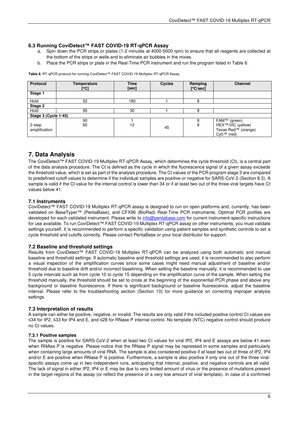## <span id="page-8-0"></span>**6.3 Running CoviDetect™ FAST COVID-19 RT-qPCR Assay**

- a. Spin down the PCR strips or plates (1-2 minutes at 4000-5000 rpm) to ensure that all reagents are collected at the bottom of the strips or wells and to eliminate air bubbles in the mixes.
- b. Place the PCR strips or plate in the Real-Time PCR instrument and run the program listed in Table 6.

**Table 6.** RT-qPCR protocol for running CoviDetect™ FAST COVID-19 Multiplex RT-qPCR Assay.

| Protocol                | Temperature<br>[°C] | <b>Time</b><br>[sec] | <b>Cycles</b> | Ramping<br>[°C/sec] | Channel                                                                  |
|-------------------------|---------------------|----------------------|---------------|---------------------|--------------------------------------------------------------------------|
| Stage 1                 |                     |                      |               |                     |                                                                          |
| Hold                    | 52                  | 180                  |               | 8                   |                                                                          |
| Stage 2                 |                     |                      |               |                     |                                                                          |
| Hold                    | 95                  | 30                   |               |                     |                                                                          |
| Stage 3 (Cycle 1-45)    |                     |                      |               |                     |                                                                          |
| 2-step<br>amplification | 90<br>60            | 12                   | 45            | 8                   | FAM™ (green)<br>HEX™/VIC (yellow)<br>Texas Red™ (orange)<br>$Cv5™$ (red) |

# <span id="page-8-1"></span>**7. Data Analysis**

The CoviDetect™ FAST COVID-19 Multiplex RT-qPCR Assay, which determines the cycle threshold (Ct), is a central part of the data analysis procedure. The Ct is defined as the cycle in which the fluorescence signal of a given assay exceeds the threshold value, which is set as part of the analysis procedure. The Ct values of the PCR program stage 3 are compared to predefined cutoff values to determine if the individual samples are positive or negative for SARS-CoV-2 (Section 8.3). A sample is valid if the Ct value for the internal control is lower than 34 or if at least two out of the three viral targets have Ct values below 41.

## <span id="page-8-2"></span>**7.1 Instruments**

CoviDetect™ FAST COVID-19 Multiplex RT-qPCR assay is designed to run on open platforms and, currently, has been validated on BaseTyper™ (PentaBase), and CFX96 (BioRad) Real-Time PCR instruments. Optimal PCR profiles are developed for each validated instrument. Please write to [info@pentabase.com](mailto:info@pentabase.com) for current instrument-specific instructions for use available. To run CoviDetect™ FAST COVID-19 Multiplex RT-qPCR assay on other instruments, you must validate settings yourself. It is recommended to perform a specific validation using patient samples and synthetic controls to set a cycle threshold and cutoffs correctly. Please contact PentaBase or your local distributor for support.

#### <span id="page-8-3"></span>**7.2 Baseline and threshold settings**

Results from CoviDetect™ FAST COVID-19 Multiplex RT-qPCR can be analyzed using both automatic and manual baseline and threshold settings. If automatic baseline and threshold settings are used, it is recommended to also perform a visual inspection of the amplification curves since some cases might need manual adjustment of baseline and/or threshold due to baseline drift and/or incorrect baselining. When setting the baseline manually, it is recommended to use 5 cycle intervals such as from cycle 10 to cycle 15 depending on the amplification curve of the sample. When setting the threshold manually, the threshold should be set to cross at the beginning of the exponential PCR phase and above any background or baseline fluorescence. If there is significant background or baseline fluorescence, adjust the baseline interval. Please refer to the troubleshooting section (Section 10) for more guidance on correcting improper analysis settings.

#### <span id="page-8-4"></span>**7.3 Interpretation of results**

A sample can either be positive, negative, or invalid. The results are only valid if the included positive control Ct values are ≤34 for IP2, ≤33 for IP4 and E, and ≤28 for RNase P internal control. No template (NTC) negative control should produce no Ct values.

#### <span id="page-8-5"></span>**7.3.1 Positive samples**

The sample is positive for SARS-CoV-2 when at least two Ct values for viral IP2, IP4 and E assays are below 41 even when RNAse P is negative. Please notice that the RNase P signal may be repressed in some samples and particularly when containing large amounts of viral RNA. The sample is also considered positive if at least two out of three of IP2, IP4 and/or E are positive when RNase P is positive. Furthermore, a sample is also positive if only one out of the three viralspecific assays come up in two independent runs, anticipating that internal, positive, and negative controls are all valid. The lack of signal in either IP2, IP4 or E may be due to very limited amount of virus or the presence of mutations present in the target regions of the assay (or reflect the presence of a very low amount of viral template). In case of a confirmed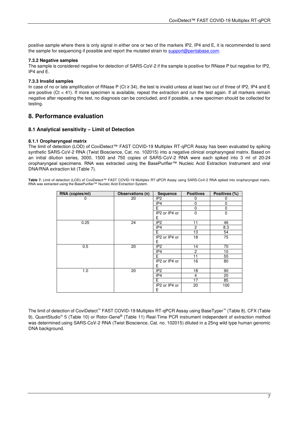positive sample where there is only signal in either one or two of the markers IP2, IP4 and E, it is recommended to send the sample for sequencing if possible and report the mutated strain to [support@pentabase.com.](mailto:support@pentabase.com)

## <span id="page-9-0"></span>**7.3.2 Negative samples**

The sample is considered negative for detection of SARS-CoV-2 if the sample is positive for RNase P but negative for IP2, IP4 and E.

## <span id="page-9-1"></span>**7.3.3 Invalid samples**

In case of no or late amplification of RNase P (Ct ≥ 34), the test is invalid unless at least two out of three of IP2, IP4 and E are positive  $(Ct < 41)$ . If more specimen is available, repeat the extraction and run the test again. If all markers remain negative after repeating the test, no diagnosis can be concluded, and if possible, a new specimen should be collected for testing.

# <span id="page-9-2"></span>**8. Performance evaluation**

## <span id="page-9-3"></span>**8.1 Analytical sensitivity – Limit of Detection**

#### <span id="page-9-4"></span>**8.1.1 Oropharyngeal matrix**

The limit of detection (LOD) of CoviDetect™ FAST COVID-19 Multiplex RT-qPCR Assay has been evaluated by spiking synthetic SARS-CoV-2 RNA (Twist Bioscience, Cat. no. 102015) into a negative clinical oropharyngeal matrix. Based on an initial dilution series, 3000, 1500 and 750 copies of SARS-CoV-2 RNA were each spiked into 3 ml of 20-24 oropharyngeal specimens. RNA was extracted using the BasePurifier™ Nucleic Acid Extraction Instrument and viral DNA/RNA extraction kit (Table 7).

**Table 7.** Limit of detection (LOD) of CoviDetect™ FAST COVID-19 Multiplex RT-qPCR Assay using SARS-CoV-2 RNA spiked into oropharyngeal matrix. RNA was extracted using the BasePurifier™ Nucleic Acid Extraction System.

| RNA (copies/ml) | Observations (n) | <b>Sequence</b> | <b>Positives</b> | Positives (%) |
|-----------------|------------------|-----------------|------------------|---------------|
| 0               | 20               | IP <sub>2</sub> | 0                | 0             |
|                 |                  | IP4             | $\mathbf 0$      | 0             |
|                 |                  | Е               | 0                | 0             |
|                 |                  | IP2 or IP4 or   | $\mathbf 0$      | $\mathbf 0$   |
|                 |                  | Е               |                  |               |
| 0.25            | 24               | IP <sub>2</sub> | 11               | 46            |
|                 |                  | IP4             | $\overline{2}$   | 8.3           |
|                 |                  | E               | 13               | 54            |
|                 |                  | IP2 or IP4 or   | 18               | 75            |
|                 |                  | Е               |                  |               |
| 0.5             | 20               | IP <sub>2</sub> | 14               | 70            |
|                 |                  | IP4             | $\overline{2}$   | 10            |
|                 |                  | Е               | 11               | 55            |
|                 |                  | IP2 or IP4 or   | 16               | 80            |
|                 |                  | Е               |                  |               |
| 1.0             | 20               | IP <sub>2</sub> | 18               | 90            |
|                 |                  | IP4             | 4                | 20            |
|                 |                  | Е               | 17               | 85            |
|                 |                  | IP2 or IP4 or   | 20               | 100           |
|                 |                  | Е               |                  |               |

The limit of detection of CoviDetect™ FAST COVID-19 Multiplex RT-qPCR Assay using BaseTyper™ (Table 8), CFX (Table 9), QuantStudio™ 5 (Table 10) or Rotor-Gene® (Table 11) Real-Time PCR instrument independent of extraction method was determined using SARS-CoV-2 RNA (Twist Bioscience, Cat. no. 102015) diluted in a 25ng wild type human genomic DNA background.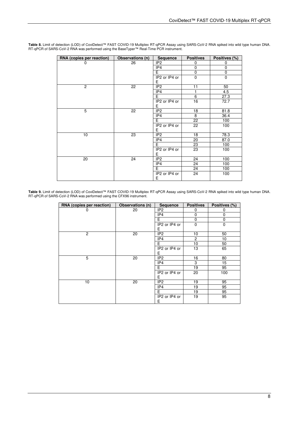| RNA (copies per reaction) | Observations (n) | <b>Sequence</b> | <b>Positives</b> | Positives (%) |
|---------------------------|------------------|-----------------|------------------|---------------|
|                           | 26               | IP <sub>2</sub> | 0                | 0             |
|                           |                  | IP4             | $\mathbf 0$      | $\mathbf 0$   |
|                           |                  | F               | $\mathbf 0$      | $\mathbf 0$   |
|                           |                  | IP2 or IP4 or   | $\Omega$         | $\Omega$      |
|                           |                  | E               |                  |               |
| $\overline{2}$            | 22               | IP <sub>2</sub> | 11               | 50            |
|                           |                  | IP4             | 1                | 4.5           |
|                           |                  | F               | 6                | 27.3          |
|                           |                  | IP2 or IP4 or   | 16               | 72.7          |
|                           |                  | E               |                  |               |
| 5                         | 22               | IP <sub>2</sub> | 18               | 81.8          |
|                           |                  | IP4             | 8                | 36.4          |
|                           |                  | Е               | 22               | 100           |
|                           |                  | IP2 or IP4 or   | 22               | 100           |
|                           |                  | E               |                  |               |
| 10                        | 23               | IP <sub>2</sub> | 18               | 78.3          |
|                           |                  | IP4             | 20               | 87.0          |
|                           |                  | E               | 23               | 100           |
|                           |                  | IP2 or IP4 or   | 23               | 100           |
|                           |                  | E               |                  |               |
| 20                        | 24               | IP <sub>2</sub> | 24               | 100           |
|                           |                  | IP4             | 24               | 100           |
|                           |                  | E               | 24               | 100           |
|                           |                  | IP2 or IP4 or   | 24               | 100           |
|                           |                  | E               |                  |               |

**Table 8.** Limit of detection (LOD) of CoviDetect™ FAST COVID-19 Multiplex RT-qPCR Assay using SARS-CoV-2 RNA spiked into wild type human DNA. RT-qPCR of SARS-CoV-2 RNA was performed using the BaseTyper™ Real-Time PCR instrument.

**Table 9.** Limit of detection (LOD) of CoviDetect™ FAST COVID-19 Multiplex RT-qPCR Assay using SARS-CoV-2 RNA spiked into wild type human DNA. RT-qPCR of SARS-CoV-2 RNA was performed using the CFX96 instrument.

| RNA (copies per reaction) | Observations (n) | <b>Sequence</b>     | <b>Positives</b> | Positives (%) |
|---------------------------|------------------|---------------------|------------------|---------------|
| 0                         | 20               | IP <sub>2</sub>     | 0                | 0             |
|                           |                  | IP4                 | 0                | 0             |
|                           |                  | E                   | $\mathbf 0$      | 0             |
|                           |                  | IP2 or IP4 or<br>Е  | $\mathbf 0$      | 0             |
| $\overline{2}$            | 20               | IP <sub>2</sub>     | 10               | 50            |
|                           |                  | IP4                 | $\overline{2}$   | 10            |
|                           |                  | E.                  | 10               | 50            |
|                           |                  | IP2 or IP4 or<br>E. | 13               | 65            |
| 5                         | 20               | IP <sub>2</sub>     | 16               | 80            |
|                           |                  | IP4                 | 3                | 15            |
|                           |                  | E                   | 19               | 95            |
|                           |                  | IP2 or IP4 or<br>E  | 20               | 100           |
| 10                        | 20               | IP <sub>2</sub>     | 19               | 95            |
|                           |                  | IP4                 | 19               | 95            |
|                           |                  | F.                  | 19               | 95            |
|                           |                  | IP2 or IP4 or<br>E  | 19               | 95            |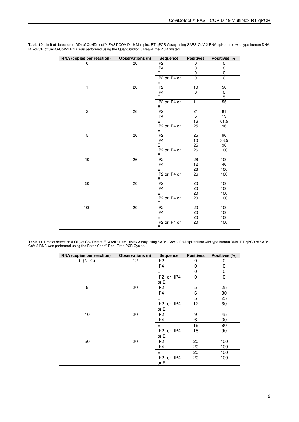| RNA (copies per reaction) | Observations (n) | Sequence            | <b>Positives</b> | Positives (%)  |
|---------------------------|------------------|---------------------|------------------|----------------|
| 0                         | 20               | IP <sub>2</sub>     | 0                | 0              |
|                           |                  | IP4                 | 0                | $\mathbf 0$    |
|                           |                  | E.                  | $\mathbf 0$      | $\pmb{0}$      |
|                           |                  | IP2 or IP4 or<br>Е  | 0                | $\pmb{0}$      |
| $\mathbf{1}$              | 20               | IP <sub>2</sub>     | 10               | 50             |
|                           |                  | IP4                 | 0                | $\mathbf 0$    |
|                           |                  | E                   | $\overline{1}$   | $\overline{5}$ |
|                           |                  | IP2 or IP4 or<br>Е  | 11               | 55             |
| $\overline{2}$            | 26               | IP <sub>2</sub>     | 21               | 81             |
|                           |                  | IP4                 | $\overline{5}$   | 19             |
|                           |                  | $\overline{E}$      | 16               | 61.5           |
|                           |                  | IP2 or IP4 or<br>E  | 25               | 96             |
| $\overline{5}$            | $\overline{26}$  | IP <sub>2</sub>     | 25               | 96             |
|                           |                  | IP4                 | 10               | 38.5           |
|                           |                  | E.                  | 25               | 96             |
|                           |                  | IP2 or IP4 or<br>E. | 26               | 100            |
| 10                        | 26               | IP <sub>2</sub>     | 26               | 100            |
|                           |                  | IP4                 | 12 <sup>°</sup>  | 46             |
|                           |                  | E                   | 26               | 100            |
|                           |                  | IP2 or IP4 or<br>E. | 26               | 100            |
| 50                        | 20               | IP2                 | 20               | 100            |
|                           |                  | IP4                 | 20               | 100            |
|                           |                  | $\overline{E}$      | 20               | 100            |
|                           |                  | IP2 or IP4 or<br>E. | 20               | 100            |
| 100                       | $\overline{20}$  | IP <sub>2</sub>     | 20               | 100            |
|                           |                  | IP4                 | 20               | 100            |
|                           |                  | $\overline{E}$      | 20               | 100            |
|                           |                  | IP2 or IP4 or<br>Е  | 20               | 100            |

**Table 10.** Limit of detection (LOD) of CoviDetect™ FAST COVID-19 Multiplex RT-qPCR Assay using SARS-CoV-2 RNA spiked into wild type human DNA. RT-qPCR of SARS-CoV-2 RNA was performed using the QuantStudio<sup>™</sup> 5 Real-Time PCR System.

Table 11. Limit of detection (LOD) of CoviDetect™ COVID-19 Multiplex Assay using SARS-CoV-2 RNA spiked into wild type human DNA. RT-qPCR of SARS-CoV-2 RNA was performed using the Rotor-Gene® Real-Time PCR Cycler.

| RNA (copies per reaction) | Observations (n) | Sequence           | <b>Positives</b> | Positives (%) |
|---------------------------|------------------|--------------------|------------------|---------------|
| 0(NTC)                    | 12               | IP <sub>2</sub>    | 0                | 0             |
|                           |                  | IP4                | 0                | 0             |
|                           |                  | E                  | 0                | 0             |
|                           |                  | IP2 or IP4         | $\mathbf 0$      | $\mathbf 0$   |
|                           |                  | or E               |                  |               |
| 5                         | 20               | IP <sub>2</sub>    | 5                | 25            |
|                           |                  | IP4                | 6                | 30            |
|                           |                  | Е                  | 5                | 25            |
|                           |                  | IP2 or IP4         | 12               | 60            |
|                           |                  | or E               |                  |               |
| 10                        | 20               | IP <sub>2</sub>    | 9                | 45            |
|                           |                  | IP4                | 6                | 30            |
|                           |                  | Е                  | 16               | 80            |
|                           |                  | IP2 or IP4         | 18               | 90            |
|                           |                  | or E               |                  |               |
| 50                        | 20               | IP <sub>2</sub>    | 20               | 100           |
|                           |                  | IP4                | 20               | 100           |
|                           |                  | Е                  | 20               | 100           |
|                           |                  | IP2 or IP4<br>or E | 20               | 100           |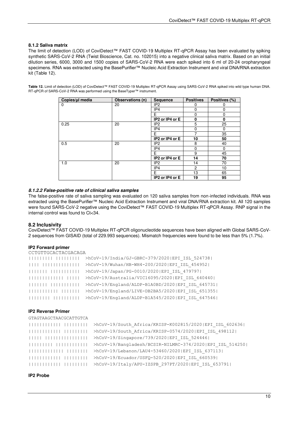## <span id="page-12-0"></span>**8.1.2 Saliva matrix**

The limit of detection (LOD) of CoviDetect™ FAST COVID-19 Multiplex RT-qPCR Assay has been evaluated by spiking synthetic SARS-CoV-2 RNA (Twist Bioscience, Cat. no. 102015) into a negative clinical saliva matrix. Based on an initial dilution series, 6000, 3000 and 1500 copies of SARS-CoV-2 RNA were each spiked into 6 ml of 20-24 oropharyngeal specimens. RNA was extracted using the BasePurifier™ Nucleic Acid Extraction Instrument and viral DNA/RNA extraction kit (Table 12).

**Table 12.** Limit of detection (LOD) of CoviDetect™ FAST COVID-19 Multiplex RT-qPCR Assay using SARS-CoV-2 RNA spiked into wild type human DNA. RT-qPCR of SARS-CoV-2 RNA was performed using the BaseTyper™ instrument.

| Copies/ul media | Observations (n) | <b>Sequence</b> | <b>Positives</b> | Positives (%) |
|-----------------|------------------|-----------------|------------------|---------------|
| 0               | 20               | IP <sub>2</sub> | O                |               |
|                 |                  | IP4             | 0                | 0             |
|                 |                  | F               | 0                | 0             |
|                 |                  | IP2 or IP4 or E | $\mathbf{0}$     | 0             |
| 0.25            | 20               | IP <sub>2</sub> | 5                | 25            |
|                 |                  | IP4             | $\Omega$         | 0             |
|                 |                  | Е               | 7                | 35            |
|                 |                  | IP2 or IP4 or E | 10               | 50            |
| 0.5             | 20               | IP <sub>2</sub> | 8                | 40            |
|                 |                  | IP4             | 0                | 0             |
|                 |                  | F               | 9                | 45            |
|                 |                  | IP2 or IP4 or E | 14               | 70            |
| 1.0             | 20               | IP <sub>2</sub> | 14               | 70            |
|                 |                  | IP4             | $\overline{c}$   | 10            |
|                 |                  | Е               | 13               | 65            |
|                 |                  | IP2 or IP4 or E | 19               | 95            |

## <span id="page-12-1"></span>**8.1.2.2 False-positive rate of clinical saliva samples**

The false-positive rate of saliva sampling was evaluated on 120 saliva samples from non-infected individuals. RNA was extracted using the BasePurifier™ Nucleic Acid Extraction Instrument and viral DNA/RNA extraction kit. All 120 samples were found SARS-CoV-2 negative using the CoviDetect™ FAST COVID-19 Multiplex RT-qPCR Assay. RNP signal in the internal control was found to Ct<34.

#### <span id="page-12-2"></span>**8.2 Inclusivity**

CoviDetect™ FAST COVID-19 Multiplex RT-qPCR oligonucleotide sequences have been aligned with Global SARS-CoV-2 sequences from GISAID (total of 229.993 sequences). Mismatch frequencies were found to be less than 5% (1.7%).

#### **IP2 Forward primer**

| CCTGTTGCACTACGACAGA |                                                  |
|---------------------|--------------------------------------------------|
| $\Box$              | >hCoV-19/India/GJ-GBRC-379/2020 EPI ISL 524738   |
|                     | >hCoV-19/Wuhan/HB-WH4-200/2020 EPI ISL 454952    |
|                     | >hCoV-19/Japan/PG-0010/2020 EPI ISL 479797       |
|                     | >hCoV-19/Australia/VIC16095/2020 EPI ISL 640440  |
|                     | >hCoV-19/England/ALDP-B1A0BD/2020 EPI ISL 645731 |
|                     | >hCoV-19/England/LIVE-DB2BA5/2020 EPI ISL 651355 |
|                     | >hCoV-19/England/ALDP-B1A545/2020 EPI ISL 647546 |

#### **IP2 Reverse Primer**

| >hCoV-19/South Africa/KRISP-K002815/2020 EPI_ISL_602636  |
|----------------------------------------------------------|
| >hCoV-19/South Africa/KRISP-0574/2020 EPI ISL 498112     |
| >hCoV-19/Singapore/739/2020 EPI ISL 524446               |
| >hCoV-19/Bangladesh/BCSIR-NILMRC-374/2020 EPI ISL 514250 |
| >hCoV-19/Lebanon/LAU4-53460/2020 EPI ISL 637113          |
| >hCoV-19/Ecuador/USFQ-520/2020 EPI ISL 660539            |
| >hCoV-19/Italy/APU-IZSPB 297PT/2020 EPI ISL 653791       |

**IP2 Probe**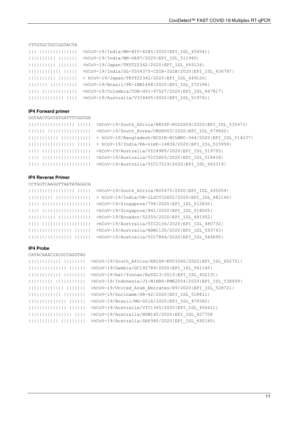#### CTTGTGCTGCCGGTACTA

| >hCoV-19/India/MH-NIV-6285/2020 EPI ISL 454541          |
|---------------------------------------------------------|
| >hCoV-19/India/MH-GA97/2020 EPI ISL 511940              |
| >hCoV-19/Japan/TKYT22342/2020 EPI ISL 649126            |
| >hCoV-19/India/DL-5504375-CSIR-IGIB/2020 EPI ISL 636787 |
| > hCoV-19/Japan/TKYT22342/2020 EPI ISL 649126           |
| >hCoV-19/Brazil/PE-IAM1468/2020 EPI ISL 572396          |
| >hCoV-19/Colombia/COR-GVI-97527/2020 EPI ISL 447817     |
| >hCoV-19/Australia/VIC4465/2020 EPI ISL 519761          |

#### **IP4 Forward primer**

GGTAACTGGTATGATTTCGGTGA

| 1111111111 | >hCoV-19/South Africa/KRISP-K002609/2020 EPI ISL 535473    |
|------------|------------------------------------------------------------|
| 111111     | >hCoV-19/South Korea/CNUHV03/2020 EPI ISL 479662           |
|            |                                                            |
|            | $ 111  > h$ CoV-19/India/KA-nimh-14834/2020 EPI ISL 515958 |
|            | >hCoV-19/Australia/VIC4989/2020 EPI ISL 519793             |
|            | >hCoV-19/Australia/VIC5603/2020 EPI ISL 518418             |
|            | >hCoV-19/Australia/VIC17519/2020 EPI ISL 663319            |

#### **IP4 Reverse Primer**

CCTGGTCAAGGTTAATATAGGCA

```
||||||||||||||||| ||||| >hCoV-19/South_Africa/R05475/2020|EPI_ISL_435059|
```

```
||||||||| ||||||||||||| > hCoV-19/India/OR-ILSCV32652/2020|EPI_ISL_481160| 
|||| |||||||||||||||||| >hCoV-19/Singapore/794/2020|EPI_ISL_512830| 
|||| |||||||||||||||||| >hCoV-19/Singapore/841/2020|EPI_ISL_518005| 
|||||||||| |||||||||||| >hCoV-19/Ecuador/52255/2020|EPI_ISL_491952| 
|||| |||||||||||||||||| >hCoV-19/Australia/VIC2134/2020|EPI_ISL_480732| 
|||||||||||||||| |||||| >hCoV-19/Australia/NSW1130/2020|EPI_ISL_593743| 
|||||||||||||||| |||||| >hCoV-19/Australia/VIC7844/2020|EPI_ISL_564695|
```
#### **IP4 Probe**

```
CATACAAACCACGCCAGGTAG
```

```
|||||||||||| |||||||| >hCoV-19/South_Africa/KRISP-K003360/2020|EPI_ISL_602751| 
|||||||||||||| |||||| >hCoV-19/Gambia/GC192789/2020|EPI_ISL_561145| 
|||||||||||| |||||||| >hCoV-19/bat/Yunnan/RaTG13/2013|EPI_ISL_402131| 
||||||||| ||||||||||| >hCoV-19/Indonesia/JI-NIHRD-PME2054/2020|EPI_ISL_538499| 
||||||||||||| ||||||| >hCoV-19/United_Arab_Emirates/H9/2020|EPI_ISL_528721| 
|||||||||||| |||||||| >hCoV-19/Suriname/SR-62/2020|EPI_ISL_518811| 
|||||||||||||| |||||| >hCoV-19/Brazil/MG-0216/2020|EPI_ISL_470582| 
|||||||||||||| |||||| >hCoV-19/Australia/VIC1365/2020|EPI_ISL_456411| 
|||||||||||||||| |||| >hCoV-19/Australia/NSW145/2020|EPI_ISL_427708 
||||||||||| ||||||||| >hCoV-19/Australia/SAP380/2020|EPI_ISL_492145|
```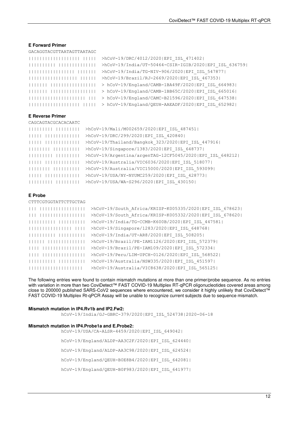#### **E Forward Primer**

#### GACAGGTACGTTAATAGTTAATAGC

| >hCoV-19/DRC/4012/2020 EPI ISL 471402                 |
|-------------------------------------------------------|
| >hCoV-19/India/UT-50464-CSIR-IGIB/2020 EPI ISL 636759 |
| >hCoV-19/India/TG-NIV-906/2020 EPI ISL 547877         |
| >hCoV-19/Brazil/RJ-2669/2020 EPI ISL 467353           |
| > hCoV-19/England/CAMB-1BA49F/2020 EPI ISL 664983     |
| > hCoV-19/England/CAMB-1BB65C/2020 EPI ISL 665016     |
| > hCoV-19/England/CAMC-B21596/2020 EPI ISL 647538     |
| > hCoV-19/England/QEUH-AAEADF/2020 EPI ISL 652982     |

#### **E Reverse Primer**

| CAGCAGTACGCACACAATC |                                                          |
|---------------------|----------------------------------------------------------|
|                     | >hCoV-19/Mali/M002659/2020 EPI ISL 487451                |
|                     | >hCoV-19/DRC/299/2020 EPI ISL 420840                     |
|                     | >hCoV-19/Thailand/Bangkok 323/2020 EPI ISL 447916        |
|                     | >hCoV-19/Singapore/1383/2020 EPI ISL 648737              |
|                     | >hCoV-19/Argentina/argenTAG-12CF5045/2020 EPI ISL 648212 |
|                     | >hCoV-19/Australia/VIC6036/2020 EPI ISL 518077           |
|                     | >hCoV-19/Australia/VIC15000/2020 EPI ISL 593099          |
|                     | >hCoV-19/USA/NY-NYUMC259/2020 EPI ISL 428773             |
|                     | >hCoV-19/USA/WA-S296/2020 EPI ISL 430150                 |

#### **E Probe**

| CTTTCGTGGTATTCTTGCTAG |                                                         |
|-----------------------|---------------------------------------------------------|
|                       | >hCoV-19/South Africa/KRISP-K005335/2020 EPI ISL 678623 |
|                       | >hCoV-19/South Africa/KRISP-K005332/2020 EPI ISL 678620 |
|                       | >hCoV-19/India/TG-CCMB-K600B/2020 EPI ISL 447581        |
|                       | >hCoV-19/Singapore/1283/2020 EPI ISL 648768             |
|                       | >hCoV-19/India/UT-AR8/2020 EPI ISL 508205               |
|                       | >hCoV-19/Brazil/PE-IAM1126/2020 EPI ISL 572379          |
|                       | >hCoV-19/Brazil/PE-IAM109/2020 EPI ISL 572334           |
|                       | >hCoV-19/Peru/LIM-UPCH-0126/2020 EPI ISL 568522         |
|                       | >hCoV-19/Australia/NSW335/2020 EPI ISL 451597           |
|                       | >hCoV-19/Australia/VIC8638/2020 EPI ISL 565125          |

The following entries were found to contain mismatch mutations at more than one primer/probe sequence. As no entries with variation in more than two CoviDetect™ FAST COVID-19 Multiplex RT-qPCR oligonucleotides covered areas among close to 200000 published SARS-CoV2 sequences where encountered, we consider it highly unlikely that CoviDetect™ FAST COVID-19 Multiplex Rt-qPCR Assay will be unable to recognize current subjects due to sequence mismatch.

#### **Mismatch mutation in IP4.Rv1b and IP2.Fw2:**

hCoV-19/India/GJ-GBRC-379/2020|EPI\_ISL\_524738|2020-06-18

#### **Mismatch mutation in IP4.Probe1a and E.Probe2:**

hCoV-19/USA/CA-ALSR-4459/2020|EPI\_ISL\_649042| hCoV-19/England/ALDP-AA3C2F/2020|EPI\_ISL\_624440| hCoV-19/England/ALDP-AA3C98/2020|EPI\_ISL\_624524| hCoV-19/England/QEUH-B0E8B4/2020|EPI\_ISL\_642081| hCoV-19/England/QEUH-B0F983/2020|EPI\_ISL\_641977|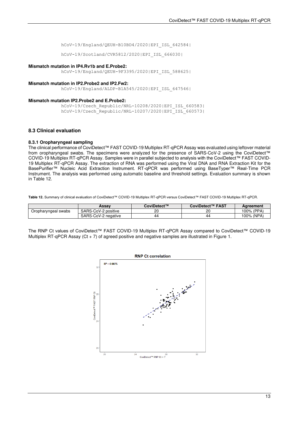hCoV-19/England/QEUH-B10BD4/2020|EPI\_ISL\_642584|

hCoV-19/Scotland/CVR5812/2020|EPI\_ISL\_666030|

#### **Mismatch mutation in IP4.Rv1b and E.Probe2:**

hCoV-19/England/QEUH-9F3395/2020|EPI\_ISL\_588625|

#### **Mismatch mutation in IP2.Probe2 and IP2.Fw2:**

hCoV-19/England/ALDP-B1A545/2020|EPI\_ISL\_647546|

#### **Mismatch mutation IP2.Probe2 and E.Probe2:**

hCoV-19/Czech\_Republic/NRL-10208/2020|EPI\_ISL\_660583| hCoV-19/Czech\_Republic/NRL-10207/2020|EPI\_ISL\_660573|

#### <span id="page-15-0"></span>**8.3 Clinical evaluation**

#### **8.3.1 Oropharyngeal sampling**

The clinical performance of CoviDetect™ FAST COVID-19 Multiplex RT-qPCR Assay was evaluated using leftover material from oropharyngeal swabs. The specimens were analyzed for the presence of SARS-CoV-2 using the CoviDetect™ COVID-19 Multiplex RT-qPCR Assay. Samples were in parallel subjected to analysis with the CoviDetect™ FAST COVID-19 Multiplex RT-qPCR Assay. The extraction of RNA was performed using the Viral DNA and RNA Extraction Kit for the BasePurifier™ Nucleic Acid Extraction Instrument. RT-qPCR was performed using BaseTyper™ Real-Time PCR Instrument. The analysis was performed using automatic baseline and threshold settings. Evaluation summary is shown in Table 12.

**Table 12.** Summary of clinical evaluation of CoviDetect™ COVID-19 Multiplex RT-qPCR versus CoviDetect™ FAST COVID-19 Multiplex RT-qPCR.

|                     | Assav               | CoviDetect™ | <b>FAST</b><br>CoviDetect™ | Aareement  |
|---------------------|---------------------|-------------|----------------------------|------------|
| Oropharyngeal swabs | SARS-CoV-2 positive | ᠒<br>۷۵     | 20                         | 100% (PPA) |
|                     | SARS-CoV-2 negative | 44          | 44                         | 100% (NPA) |

The RNP Ct values of CoviDetect™ FAST COVID-19 Multiplex RT-qPCR Assay compared to CoviDetect™ COVID-19 Multiplex RT-qPCR Assay  $(Ct + 7)$  of agreed positive and negative samples are illustrated in Figure 1.

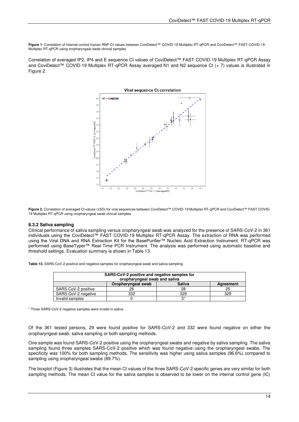**Figure 1**. Correlation of internal control human RNP Ct values between CoviDetect™ COVID-19 Multiplex RT-qPCR and CoviDetect™ FAST COVID-19 Multiplex RT-qPCR using oropharyngeal swab clinical samples.

Correlation of averaged IP2, IP4 and E sequence Ct values of CoviDetect™ FAST COVID-19 Multiplex RT-qPCR Assay and CoviDetect™ COVID-19 Multiplex RT-qPCR Assay averaged N1 and N2 sequence Ct (+ 7) values is illustrated in Figure 2.



**Figure 2.** Correlation of averaged Ct values (±SD) for viral sequences between CoviDetect™ COVID-19 Multiplex RT-qPCR and CoviDetect™ FAST COVID-19 Multiplex RT-qPCR using oropharyngeal swab clinical samples.

#### **8.3.2 Saliva sampling**

Clinical performance of saliva sampling versus oropharyngeal swab was analyzed for the presence of SARS-CoV-2 in 361 individuals using the CoviDetect™ FAST COVID-19 Multiplex RT-qPCR Assay. The extraction of RNA was performed using the Viral DNA and RNA Extraction Kit for the BasePurifier™ Nucleic Acid Extraction Instrument. RT-qPCR was performed using BaseTyper™ Real-Time PCR Instrument. The analysis was performed using automatic baseline and threshold settings. Evaluation summary is shown in Table 13.

**Table 13.** SARS-CoV-2 positive and negative samples for oropharyngeal swab and saliva sampling.

| SARS-CoV-2 positive and negative samples for<br>oropharyngeal swab and saliva |     |     |     |  |
|-------------------------------------------------------------------------------|-----|-----|-----|--|
| <b>Saliva</b><br>Oropharyngeal swab<br>Agreement                              |     |     |     |  |
| SARS-CoV-2 positive                                                           | 26  | 28  | 25  |  |
| SARS-CoV-2 negative                                                           | 332 | 329 | 329 |  |
| Invalid samples                                                               |     | Ω   |     |  |

\* Three SARS-CoV-2 negative samples were invalid in saliva.

Of the 361 tested persons, 29 were found positive for SARS-CoV-2 and 332 were found negative on either the oropharyngeal swab, saliva sampling or both sampling methods.

One sample was found SARS-CoV-2 positive using the oropharyngeal swabs and negative by saliva sampling. The saliva sampling found three samples SARS-CoV-2 positive which was found negative using the oropharyngeal swabs. The specificity was 100% for both sampling methods. The sensitivity was higher using saliva samples (96.6%) compared to sampling using oropharyngeal swabs (89.7%).

The boxplot (Figure 3) illustrates that the mean Ct values of the three SARS-CoV-2 specific genes are very similar for both sampling methods. The mean Ct value for the saliva samples is observed to be lower on the internal control gene (IC)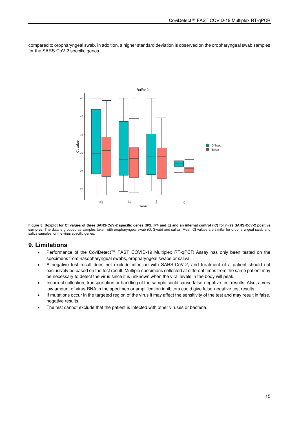compared to oropharyngeal swab. In addition, a higher standard deviation is observed on the oropharyngeal swab samples for the SARS-CoV-2 specific genes.



**Figure 3. Boxplot for Ct values of three SARS-CoV-2 specific genes (IP2, IP4 and E) and an internal control (IC) for n=29 SARS-CoV-2 positive**  samples. The data is grouped as samples taken with oropharyngeal swab (O. Swab) and saliva. Mean Ct values are similar for oropharyngeal swab and saliva samples for the virus specific genes.

# <span id="page-17-0"></span>**9. Limitations**

- Performance of the CoviDetect™ FAST COVID-19 Multiplex RT-qPCR Assay has only been tested on the specimens from nasopharyngeal swabs, oropharyngeal swabs or saliva.
- A negative test result does not exclude infection with SARS-CoV-2, and treatment of a patient should not exclusively be based on the test result. Multiple specimens collected at different times from the same patient may be necessary to detect the virus since it is unknown when the viral levels in the body will peak.
- Incorrect collection, transportation or handling of the sample could cause false-negative test results. Also, a very low amount of virus RNA in the specimen or amplification inhibitors could give false-negative test results.
- If mutations occur in the targeted region of the virus it may affect the sensitivity of the test and may result in false, negative results.
- <span id="page-17-1"></span>• The test cannot exclude that the patient is infected with other viruses or bacteria.